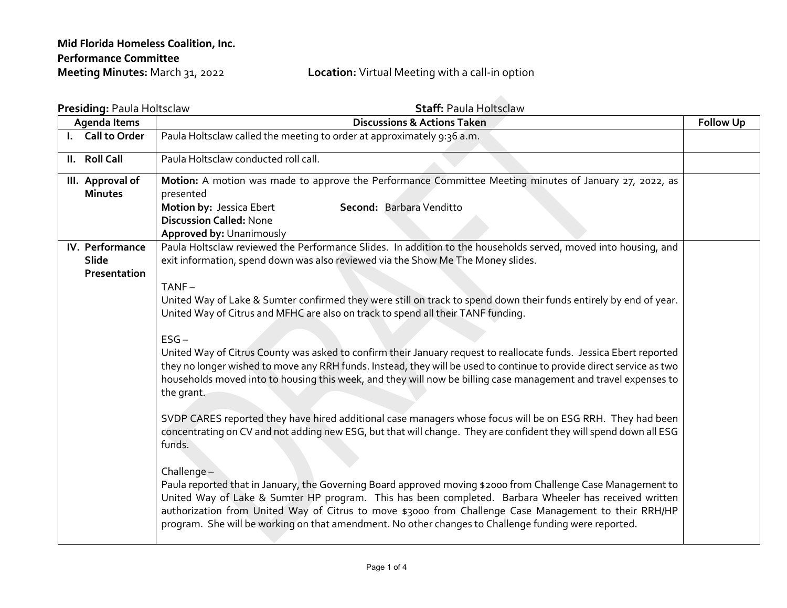## **Location:** Virtual Meeting with a call-in option

| Presiding: Paula Holtsclaw |                          | <b>Staff: Paula Holtsclaw</b>                                                                                                                                                                                                                                                                                                                                                                                                                           |  |  |  |
|----------------------------|--------------------------|---------------------------------------------------------------------------------------------------------------------------------------------------------------------------------------------------------------------------------------------------------------------------------------------------------------------------------------------------------------------------------------------------------------------------------------------------------|--|--|--|
| Agenda Items               |                          | <b>Discussions &amp; Actions Taken</b>                                                                                                                                                                                                                                                                                                                                                                                                                  |  |  |  |
|                            | I. Call to Order         | Paula Holtsclaw called the meeting to order at approximately 9:36 a.m.                                                                                                                                                                                                                                                                                                                                                                                  |  |  |  |
|                            | II. Roll Call            | Paula Holtsclaw conducted roll call.                                                                                                                                                                                                                                                                                                                                                                                                                    |  |  |  |
|                            | III. Approval of         | Motion: A motion was made to approve the Performance Committee Meeting minutes of January 27, 2022, as                                                                                                                                                                                                                                                                                                                                                  |  |  |  |
|                            | <b>Minutes</b>           | presented                                                                                                                                                                                                                                                                                                                                                                                                                                               |  |  |  |
|                            |                          | Motion by: Jessica Ebert<br>Second: Barbara Venditto                                                                                                                                                                                                                                                                                                                                                                                                    |  |  |  |
|                            |                          | <b>Discussion Called: None</b>                                                                                                                                                                                                                                                                                                                                                                                                                          |  |  |  |
|                            |                          | Approved by: Unanimously                                                                                                                                                                                                                                                                                                                                                                                                                                |  |  |  |
|                            | IV. Performance<br>Slide | Paula Holtsclaw reviewed the Performance Slides. In addition to the households served, moved into housing, and<br>exit information, spend down was also reviewed via the Show Me The Money slides.                                                                                                                                                                                                                                                      |  |  |  |
|                            | Presentation             |                                                                                                                                                                                                                                                                                                                                                                                                                                                         |  |  |  |
|                            |                          | $TANF -$                                                                                                                                                                                                                                                                                                                                                                                                                                                |  |  |  |
|                            |                          | United Way of Lake & Sumter confirmed they were still on track to spend down their funds entirely by end of year.<br>United Way of Citrus and MFHC are also on track to spend all their TANF funding.                                                                                                                                                                                                                                                   |  |  |  |
|                            |                          | $ESG -$                                                                                                                                                                                                                                                                                                                                                                                                                                                 |  |  |  |
|                            |                          | United Way of Citrus County was asked to confirm their January request to reallocate funds. Jessica Ebert reported<br>they no longer wished to move any RRH funds. Instead, they will be used to continue to provide direct service as two<br>households moved into to housing this week, and they will now be billing case management and travel expenses to<br>the grant.                                                                             |  |  |  |
|                            |                          | SVDP CARES reported they have hired additional case managers whose focus will be on ESG RRH. They had been<br>concentrating on CV and not adding new ESG, but that will change. They are confident they will spend down all ESG<br>funds.                                                                                                                                                                                                               |  |  |  |
|                            |                          | Challenge $-$<br>Paula reported that in January, the Governing Board approved moving \$2000 from Challenge Case Management to<br>United Way of Lake & Sumter HP program. This has been completed. Barbara Wheeler has received written<br>authorization from United Way of Citrus to move \$3000 from Challenge Case Management to their RRH/HP<br>program. She will be working on that amendment. No other changes to Challenge funding were reported. |  |  |  |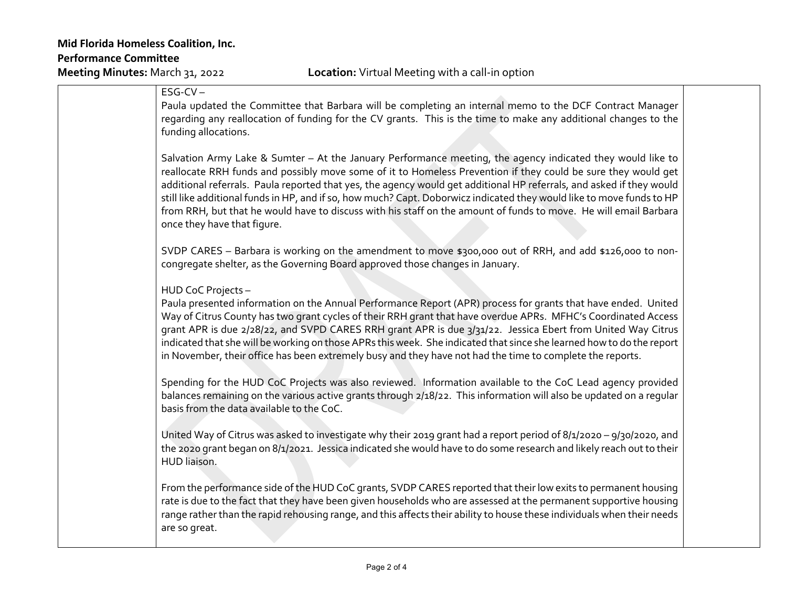| $ESG-CV -$<br>Paula updated the Committee that Barbara will be completing an internal memo to the DCF Contract Manager<br>regarding any reallocation of funding for the CV grants. This is the time to make any additional changes to the<br>funding allocations.                                                                                                                                                                                                                                                                                                                                                               |  |
|---------------------------------------------------------------------------------------------------------------------------------------------------------------------------------------------------------------------------------------------------------------------------------------------------------------------------------------------------------------------------------------------------------------------------------------------------------------------------------------------------------------------------------------------------------------------------------------------------------------------------------|--|
| Salvation Army Lake & Sumter - At the January Performance meeting, the agency indicated they would like to<br>reallocate RRH funds and possibly move some of it to Homeless Prevention if they could be sure they would get<br>additional referrals. Paula reported that yes, the agency would get additional HP referrals, and asked if they would<br>still like additional funds in HP, and if so, how much? Capt. Doborwicz indicated they would like to move funds to HP<br>from RRH, but that he would have to discuss with his staff on the amount of funds to move. He will email Barbara<br>once they have that figure. |  |
| SVDP CARES - Barbara is working on the amendment to move \$300,000 out of RRH, and add \$126,000 to non-<br>congregate shelter, as the Governing Board approved those changes in January.                                                                                                                                                                                                                                                                                                                                                                                                                                       |  |
| HUD CoC Projects-<br>Paula presented information on the Annual Performance Report (APR) process for grants that have ended. United<br>Way of Citrus County has two grant cycles of their RRH grant that have overdue APRs. MFHC's Coordinated Access<br>grant APR is due 2/28/22, and SVPD CARES RRH grant APR is due 3/31/22. Jessica Ebert from United Way Citrus<br>indicated that she will be working on those APRs this week. She indicated that since she learned how to do the report<br>in November, their office has been extremely busy and they have not had the time to complete the reports.                       |  |
| Spending for the HUD CoC Projects was also reviewed. Information available to the CoC Lead agency provided<br>balances remaining on the various active grants through 2/18/22. This information will also be updated on a regular<br>basis from the data available to the CoC.                                                                                                                                                                                                                                                                                                                                                  |  |
| United Way of Citrus was asked to investigate why their 2019 grant had a report period of 8/1/2020 - 9/30/2020, and<br>the 2020 grant began on 8/1/2021. Jessica indicated she would have to do some research and likely reach out to their<br>HUD liaison.                                                                                                                                                                                                                                                                                                                                                                     |  |
| From the performance side of the HUD CoC grants, SVDP CARES reported that their low exits to permanent housing<br>rate is due to the fact that they have been given households who are assessed at the permanent supportive housing<br>range rather than the rapid rehousing range, and this affects their ability to house these individuals when their needs<br>are so great.                                                                                                                                                                                                                                                 |  |
|                                                                                                                                                                                                                                                                                                                                                                                                                                                                                                                                                                                                                                 |  |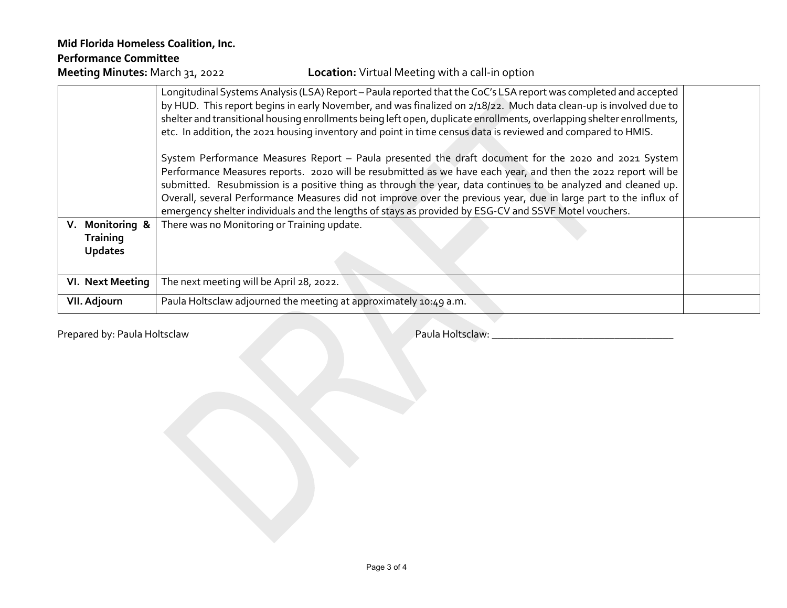## **Mid Florida Homeless Coalition, Inc. Performance Committee**

## **Location:** Virtual Meeting with a call-in option

|                                                      | Longitudinal Systems Analysis (LSA) Report – Paula reported that the CoC's LSA report was completed and accepted<br>by HUD. This report begins in early November, and was finalized on 2/18/22. Much data clean-up is involved due to<br>shelter and transitional housing enrollments being left open, duplicate enrollments, overlapping shelter enrollments,<br>etc. In addition, the 2021 housing inventory and point in time census data is reviewed and compared to HMIS.                                                                                       |  |
|------------------------------------------------------|----------------------------------------------------------------------------------------------------------------------------------------------------------------------------------------------------------------------------------------------------------------------------------------------------------------------------------------------------------------------------------------------------------------------------------------------------------------------------------------------------------------------------------------------------------------------|--|
|                                                      | System Performance Measures Report - Paula presented the draft document for the 2020 and 2021 System<br>Performance Measures reports. 2020 will be resubmitted as we have each year, and then the 2022 report will be<br>submitted. Resubmission is a positive thing as through the year, data continues to be analyzed and cleaned up.<br>Overall, several Performance Measures did not improve over the previous year, due in large part to the influx of<br>emergency shelter individuals and the lengths of stays as provided by ESG-CV and SSVF Motel vouchers. |  |
| V. Monitoring &<br><b>Training</b><br><b>Updates</b> | There was no Monitoring or Training update.                                                                                                                                                                                                                                                                                                                                                                                                                                                                                                                          |  |
| VI. Next Meeting                                     | The next meeting will be April 28, 2022.                                                                                                                                                                                                                                                                                                                                                                                                                                                                                                                             |  |
| <b>VII. Adjourn</b>                                  | Paula Holtsclaw adjourned the meeting at approximately 10:49 a.m.                                                                                                                                                                                                                                                                                                                                                                                                                                                                                                    |  |

Prepared by: Paula Holtsclaw Paula Holtsclaw: